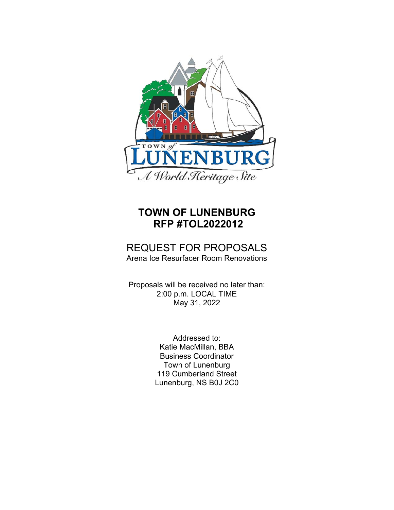

# **TOWN OF LUNENBURG RFP #TOL2022012**

## REQUEST FOR PROPOSALS Arena Ice Resurfacer Room Renovations

Proposals will be received no later than: 2:00 p.m. LOCAL TIME May 31, 2022

> Addressed to: Katie MacMillan, BBA Business Coordinator Town of Lunenburg 119 Cumberland Street Lunenburg, NS B0J 2C0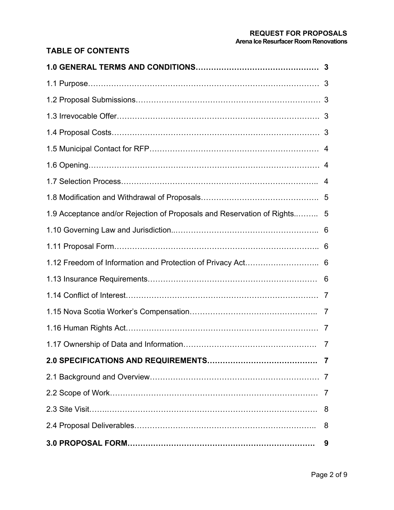#### **REQUEST FOR PROPOSALS Arena Ice Resurfacer Room Renovations**

## **TABLE OF CONTENTS**

| 1.9 Acceptance and/or Rejection of Proposals and Reservation of Rights 5 |                |
|--------------------------------------------------------------------------|----------------|
|                                                                          |                |
|                                                                          |                |
|                                                                          |                |
|                                                                          |                |
|                                                                          |                |
|                                                                          |                |
|                                                                          |                |
|                                                                          |                |
|                                                                          |                |
|                                                                          |                |
|                                                                          | $\overline{7}$ |
|                                                                          |                |
|                                                                          | 8              |
|                                                                          | 9              |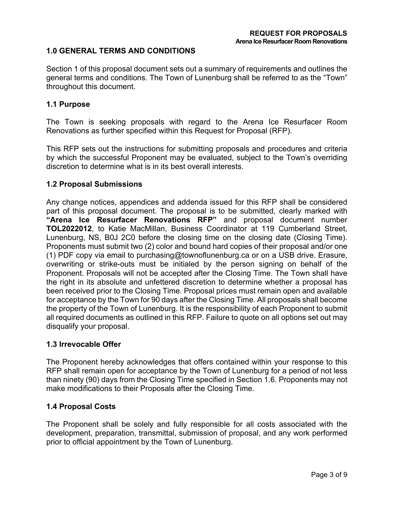## **1.0 GENERAL TERMS AND CONDITIONS**

Section 1 of this proposal document sets out a summary of requirements and outlines the general terms and conditions. The Town of Lunenburg shall be referred to as the "Town" throughout this document.

## **1.1 Purpose**

The Town is seeking proposals with regard to the Arena Ice Resurfacer Room Renovations as further specified within this Request for Proposal (RFP).

This RFP sets out the instructions for submitting proposals and procedures and criteria by which the successful Proponent may be evaluated, subject to the Town's overriding discretion to determine what is in its best overall interests.

## **1.2 Proposal Submissions**

Any change notices, appendices and addenda issued for this RFP shall be considered part of this proposal document. The proposal is to be submitted, clearly marked with **"Arena Ice Resurfacer Renovations RFP"** and proposal document number **TOL2022012**, to Katie MacMillan, Business Coordinator at 119 Cumberland Street, Lunenburg, NS, B0J 2C0 before the closing time on the closing date (Closing Time). Proponents must submit two (2) color and bound hard copies of their proposal and/or one (1) PDF copy via email to purchasing@townoflunenburg.ca or on a USB drive. Erasure, overwriting or strike-outs must be initialed by the person signing on behalf of the Proponent. Proposals will not be accepted after the Closing Time. The Town shall have the right in its absolute and unfettered discretion to determine whether a proposal has been received prior to the Closing Time. Proposal prices must remain open and available for acceptance by the Town for 90 days after the Closing Time. All proposals shall become the property of the Town of Lunenburg. It is the responsibility of each Proponent to submit all required documents as outlined in this RFP. Failure to quote on all options set out may disqualify your proposal.

#### **1.3 Irrevocable Offer**

The Proponent hereby acknowledges that offers contained within your response to this RFP shall remain open for acceptance by the Town of Lunenburg for a period of not less than ninety (90) days from the Closing Time specified in Section 1.6. Proponents may not make modifications to their Proposals after the Closing Time.

#### **1.4 Proposal Costs**

The Proponent shall be solely and fully responsible for all costs associated with the development, preparation, transmittal, submission of proposal, and any work performed prior to official appointment by the Town of Lunenburg.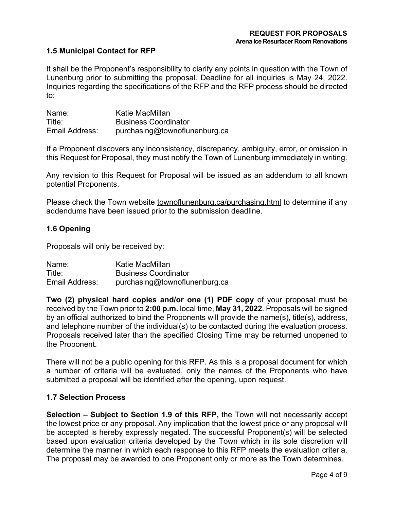## **1.5 Municipal Contact for RFP**

It shall be the Proponent's responsibility to clarify any points in question with the Town of Lunenburg prior to submitting the proposal. Deadline for all inquiries is May 24, 2022. Inquiries regarding the specifications of the RFP and the RFP process should be directed to:

| Name:          | Katie MacMillan               |
|----------------|-------------------------------|
| Title:         | <b>Business Coordinator</b>   |
| Email Address: | purchasing@townoflunenburg.ca |

If a Proponent discovers any inconsistency, discrepancy, ambiguity, error, or omission in this Request for Proposal, they must notify the Town of Lunenburg immediately in writing.

Any revision to this Request for Proposal will be issued as an addendum to all known potential Proponents.

Please check the Town website townoflunenburg.ca/purchasing.html to determine if any addendums have been issued prior to the submission deadline.

## **1.6 Opening**

Proposals will only be received by:

| Name:          | Katie MacMillan               |
|----------------|-------------------------------|
| Title:         | <b>Business Coordinator</b>   |
| Email Address: | purchasing@townoflunenburg.ca |

**Two (2) physical hard copies and/or one (1) PDF copy** of your proposal must be received by the Town prior to **2:00 p.m.** local time, **May 31, 2022**. Proposals will be signed by an official authorized to bind the Proponents will provide the name(s), title(s), address, and telephone number of the individual(s) to be contacted during the evaluation process. Proposals received later than the specified Closing Time may be returned unopened to the Proponent.

There will not be a public opening for this RFP. As this is a proposal document for which a number of criteria will be evaluated, only the names of the Proponents who have submitted a proposal will be identified after the opening, upon request.

#### **1.7 Selection Process**

**Selection – Subject to Section 1.9 of this RFP,** the Town will not necessarily accept the lowest price or any proposal. Any implication that the lowest price or any proposal will be accepted is hereby expressly negated. The successful Proponent(s) will be selected based upon evaluation criteria developed by the Town which in its sole discretion will determine the manner in which each response to this RFP meets the evaluation criteria. The proposal may be awarded to one Proponent only or more as the Town determines.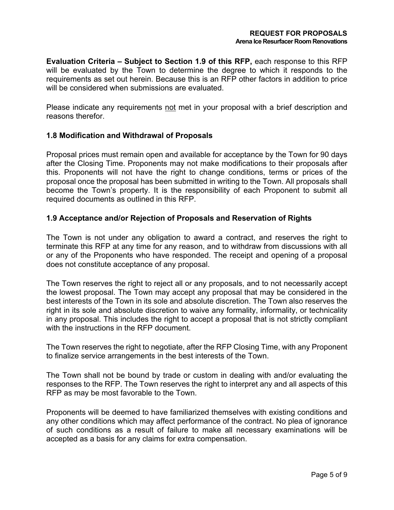**Evaluation Criteria – Subject to Section 1.9 of this RFP,** each response to this RFP will be evaluated by the Town to determine the degree to which it responds to the requirements as set out herein. Because this is an RFP other factors in addition to price will be considered when submissions are evaluated.

Please indicate any requirements not met in your proposal with a brief description and reasons therefor.

## **1.8 Modification and Withdrawal of Proposals**

Proposal prices must remain open and available for acceptance by the Town for 90 days after the Closing Time. Proponents may not make modifications to their proposals after this. Proponents will not have the right to change conditions, terms or prices of the proposal once the proposal has been submitted in writing to the Town. All proposals shall become the Town's property. It is the responsibility of each Proponent to submit all required documents as outlined in this RFP.

## **1.9 Acceptance and/or Rejection of Proposals and Reservation of Rights**

The Town is not under any obligation to award a contract, and reserves the right to terminate this RFP at any time for any reason, and to withdraw from discussions with all or any of the Proponents who have responded. The receipt and opening of a proposal does not constitute acceptance of any proposal.

The Town reserves the right to reject all or any proposals, and to not necessarily accept the lowest proposal. The Town may accept any proposal that may be considered in the best interests of the Town in its sole and absolute discretion. The Town also reserves the right in its sole and absolute discretion to waive any formality, informality, or technicality in any proposal. This includes the right to accept a proposal that is not strictly compliant with the instructions in the RFP document.

The Town reserves the right to negotiate, after the RFP Closing Time, with any Proponent to finalize service arrangements in the best interests of the Town.

The Town shall not be bound by trade or custom in dealing with and/or evaluating the responses to the RFP. The Town reserves the right to interpret any and all aspects of this RFP as may be most favorable to the Town.

Proponents will be deemed to have familiarized themselves with existing conditions and any other conditions which may affect performance of the contract. No plea of ignorance of such conditions as a result of failure to make all necessary examinations will be accepted as a basis for any claims for extra compensation.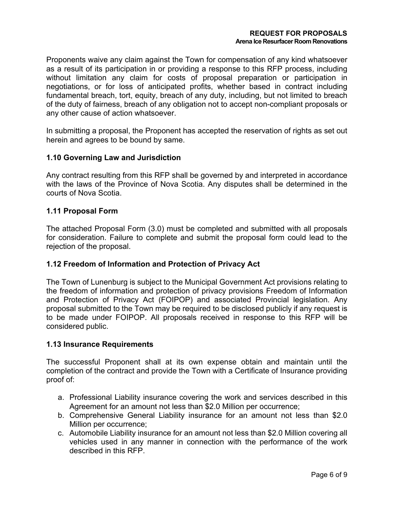Proponents waive any claim against the Town for compensation of any kind whatsoever as a result of its participation in or providing a response to this RFP process, including without limitation any claim for costs of proposal preparation or participation in negotiations, or for loss of anticipated profits, whether based in contract including fundamental breach, tort, equity, breach of any duty, including, but not limited to breach of the duty of fairness, breach of any obligation not to accept non-compliant proposals or any other cause of action whatsoever.

In submitting a proposal, the Proponent has accepted the reservation of rights as set out herein and agrees to be bound by same.

## **1.10 Governing Law and Jurisdiction**

Any contract resulting from this RFP shall be governed by and interpreted in accordance with the laws of the Province of Nova Scotia. Any disputes shall be determined in the courts of Nova Scotia.

## **1.11 Proposal Form**

The attached Proposal Form (3.0) must be completed and submitted with all proposals for consideration. Failure to complete and submit the proposal form could lead to the rejection of the proposal.

## **1.12 Freedom of Information and Protection of Privacy Act**

The Town of Lunenburg is subject to the Municipal Government Act provisions relating to the freedom of information and protection of privacy provisions Freedom of Information and Protection of Privacy Act (FOIPOP) and associated Provincial legislation. Any proposal submitted to the Town may be required to be disclosed publicly if any request is to be made under FOIPOP. All proposals received in response to this RFP will be considered public.

#### **1.13 Insurance Requirements**

The successful Proponent shall at its own expense obtain and maintain until the completion of the contract and provide the Town with a Certificate of Insurance providing proof of:

- a. Professional Liability insurance covering the work and services described in this Agreement for an amount not less than \$2.0 Million per occurrence;
- b. Comprehensive General Liability insurance for an amount not less than \$2.0 Million per occurrence;
- c. Automobile Liability insurance for an amount not less than \$2.0 Million covering all vehicles used in any manner in connection with the performance of the work described in this RFP.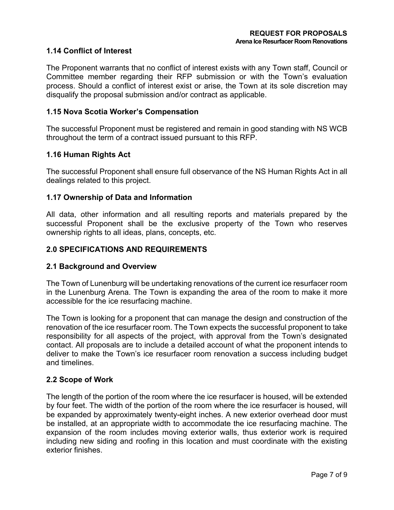## **1.14 Conflict of Interest**

The Proponent warrants that no conflict of interest exists with any Town staff, Council or Committee member regarding their RFP submission or with the Town's evaluation process. Should a conflict of interest exist or arise, the Town at its sole discretion may disqualify the proposal submission and/or contract as applicable.

#### **1.15 Nova Scotia Worker's Compensation**

The successful Proponent must be registered and remain in good standing with NS WCB throughout the term of a contract issued pursuant to this RFP.

#### **1.16 Human Rights Act**

The successful Proponent shall ensure full observance of the NS Human Rights Act in all dealings related to this project.

## **1.17 Ownership of Data and Information**

All data, other information and all resulting reports and materials prepared by the successful Proponent shall be the exclusive property of the Town who reserves ownership rights to all ideas, plans, concepts, etc.

## **2.0 SPECIFICATIONS AND REQUIREMENTS**

#### **2.1 Background and Overview**

The Town of Lunenburg will be undertaking renovations of the current ice resurfacer room in the Lunenburg Arena. The Town is expanding the area of the room to make it more accessible for the ice resurfacing machine.

The Town is looking for a proponent that can manage the design and construction of the renovation of the ice resurfacer room. The Town expects the successful proponent to take responsibility for all aspects of the project, with approval from the Town's designated contact. All proposals are to include a detailed account of what the proponent intends to deliver to make the Town's ice resurfacer room renovation a success including budget and timelines.

#### **2.2 Scope of Work**

The length of the portion of the room where the ice resurfacer is housed, will be extended by four feet. The width of the portion of the room where the ice resurfacer is housed, will be expanded by approximately twenty-eight inches. A new exterior overhead door must be installed, at an appropriate width to accommodate the ice resurfacing machine. The expansion of the room includes moving exterior walls, thus exterior work is required including new siding and roofing in this location and must coordinate with the existing exterior finishes.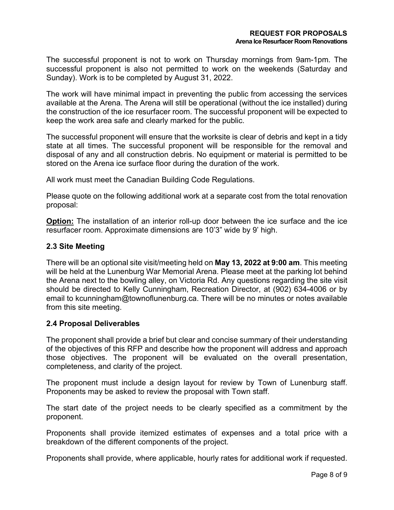The successful proponent is not to work on Thursday mornings from 9am-1pm. The successful proponent is also not permitted to work on the weekends (Saturday and Sunday). Work is to be completed by August 31, 2022.

The work will have minimal impact in preventing the public from accessing the services available at the Arena. The Arena will still be operational (without the ice installed) during the construction of the ice resurfacer room. The successful proponent will be expected to keep the work area safe and clearly marked for the public.

The successful proponent will ensure that the worksite is clear of debris and kept in a tidy state at all times. The successful proponent will be responsible for the removal and disposal of any and all construction debris. No equipment or material is permitted to be stored on the Arena ice surface floor during the duration of the work.

All work must meet the Canadian Building Code Regulations.

Please quote on the following additional work at a separate cost from the total renovation proposal:

**Option:** The installation of an interior roll-up door between the ice surface and the ice resurfacer room. Approximate dimensions are 10'3" wide by 9' high.

## **2.3 Site Meeting**

There will be an optional site visit/meeting held on **May 13, 2022 at 9:00 am**. This meeting will be held at the Lunenburg War Memorial Arena. Please meet at the parking lot behind the Arena next to the bowling alley, on Victoria Rd. Any questions regarding the site visit should be directed to Kelly Cunningham, Recreation Director, at (902) 634-4006 or by email to kcunningham@townoflunenburg.ca. There will be no minutes or notes available from this site meeting.

#### **2.4 Proposal Deliverables**

The proponent shall provide a brief but clear and concise summary of their understanding of the objectives of this RFP and describe how the proponent will address and approach those objectives. The proponent will be evaluated on the overall presentation, completeness, and clarity of the project.

The proponent must include a design layout for review by Town of Lunenburg staff. Proponents may be asked to review the proposal with Town staff.

The start date of the project needs to be clearly specified as a commitment by the proponent.

Proponents shall provide itemized estimates of expenses and a total price with a breakdown of the different components of the project.

Proponents shall provide, where applicable, hourly rates for additional work if requested.